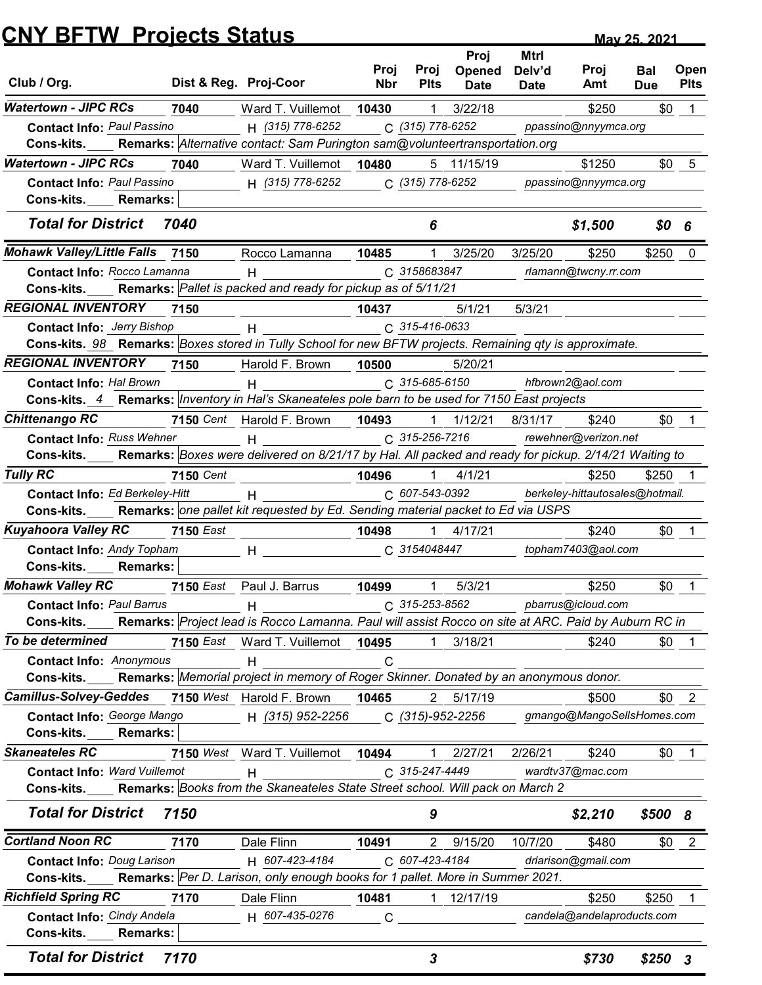## May 25.2<br>
Club / Org. Dist & Reg. Proj-Coor Proj Proj Opened Delv'd Proj Bal<br>
Vatertown - JIPC RCs 7040 Ward T. Vuillemot 10430 1 3/22/18 \$250<br>
Contact Info: Paul Passino H (315) 778-6252 C (315) 778-6252 ppassino@nnyymca. Proj Proj Opened Nbr Plts Date Date **Mtrl** Delv'd Proj Bal Date Amt Due Plts Plts Date Date Amt Due Proj Bal Open Due Plts Proj Date Date Amt Due Plts Amt Due Pits Plts **CNY BFTW Projects Status May 25, 2021** May 25, 2021 **Watertown - JIPC RCs 7040** Ward T. Vuillemot **10430** 1 3/22/18 \$250 \$0 1 Cons-kits. Premarks: Alternative contact: Sam Purington sam@volunteertransportation.org 10430 1 May 25, 2021<br>
<u>Bist & Reg.</u> Proj-Coornel Proj Proj Opened Delv'd Proj Bal Open<br>
Proj Proj Opened Delv'd Proj Bal Open<br>
Errown - JIPC RCs 7040 Ward T. Vuillemot 10430 1 3/22/18 \$250 \$0 1<br>
Contact Info: Paul Passino H (315) Watertown - JIPC RCs 7040 Ward T. Vuillemot 10480 5 11/15/19 \$1250 \$0 5 MY BFTW Projects Status<br>
b/Org. Dist & Reg. Proj-Coor Proj Proj Opened Delv'd Proj Bal Open<br>
errown J/PC RCs 7040 Ward T. Vuillemot 10430 1 3/22/18 \$250 \$0 1<br>
Contact Info: Paul Passino H (315) 778-6252 C (315) 778-6252 pp Cons-kits. Remarks: Enter B4TW List View Total for District 7040 6 \$1,500 \$0 6 **Mohawk Valley/Little Falls 7150** Rocco Lamanna **10485** 1 3/25/20 3/25/20 \$250 \$250 0 **Cons-kits.\_\_\_\_ Remarks:** Pallet is packed and ready for pickup as of 5/11/21 10485 0 **Solution:** May 25.2021<br>
Contact Info: Rocco Dist & Reg. Proj-Coor Proj Proj Opened Delv'd Proj Bal Open<br>
Contact Info: Real Passino Ward T. Vuillemot 10430 1 3/2/16<br>
Contact Info: Real Passino H (315) 778-6252 C (315) 778 REGIONAL INVENTORY 7150 10437 5/1/21 5/3/21 Cons-kits. 98 Remarks: Boxes stored in Tully School for new BFTW projects. Remaining qty is approximate. 10437 **Solution:** May 25.2021<br>
May 25.2021<br>
May 25.2021<br>
May 25.2021<br>
Dons Info: JPro Bishop Hotel Project Project Project Project Project Project Project Project Project Project<br>
Contact Info: Project Info: JPro Andre Drive Pro REGIONAL INVENTORY 7150 Harold F. Brown 10500 Cons-kits.\_4\_\_Remarks: |Inventory in Hal's Skaneateles pole barn to be used for 7150 East projects 5/20/21 b / Org. Dist & Reg. Pro]-Coor Proj Proj Openad Delv'd Proj Ball Open<br>
Fertown - JIPC RCs 7040 Ward T. Vuillemot 10430 1 3/2/18 Sea Date Anti Due Plts<br>
Contact Info:  $P_{2dU}P_{2dS20} = 1$ <br>
Contact Info:  $P_{2dU}P_{2dS20} = 1$ <br> **Chittenango RC** 7150 Cent Harold F. Brown 10493 1 1/12/21 8/31/17 \$240 \$0 1 Cons-kits.\_\_\_\_Remarks: Boxes were delivered on 8/21/17 by Hal. All packed and ready for pickup. 2/14/21 Waiting to 7150 Cent Harold F. Brown 10493 1 1/12/21 8/31/17 \$240 \$0 Contact Info: Paul Passino<br>
Cons-kits. **Remarks:** Alternative contact Isam Purington samgevolutinestransportation.org<br>
Contact Info: Raul Passino<br>
Contact Info: Raul Passino<br>
Contact Info: Raul Passino<br>
Total for District **Tully RC** 6250 **7150** Cent 65 1 **10496** 1 4/1/21 5250 \$250 1 Cons-kits.\_\_\_\_\_Remarks: |one pallet kit requested by Ed. Sending material packet to Ed via USPS Cent 10**496** 1 4/1/21 \$250 \$250 1 Contact Info: Paul Passino<br>
Cons: kits. **Encentric:** Total for District Total Contact Info: Education in the Contact Info: Hitle Falls 7150<br>
Contact Info: <u>Rocco Lamanna</u> 10485 1 3/25/20 3/25/20 \$250 \$250 0<br>
Contact Info: **Kuyahoora Valley RC** 7150 East 10498 1 4/17/21 \$240 \$0 Contact Info: Andy Topham H C <sup>3154048447</sup> topham7403@aol.com Cons-kits. Remarks: **Mohawk Valley RC 7150** East Paul J. Barrus **10499** 1 5/3/21 \$250 \$0 1 Cons-kits.\_\_\_\_\_Remarks: |Project lead is Rocco Lamanna. Paul will assist Rocco on site at ARC. Paid by Auburn RC in East Paul J. Barrus **10499** 1 5/3/21 \$250 \$0 1 Cons-kits. Remarks: Pallet is packed and ready for pickup as of 5/11/21<br>
Contact Info: Pay Barrus H<br>
Contact Info: Pay Barrus H<br>
Contact Info: Pay Barrus H<br>
Contact Info: Pay Barrus H C 315-416-083<br>
Contact Info: Pay Barru To be determined 7150 Ward T. Vuillemot 1 3/18/21 \$240 \$0 East 10495 1 Cons-kits. Samarks: Memorial project in memory of Roger Skinner. Donated by an anonymous donor. Cons-kits. 98 Remarks: *Boxes stored in Tully School for new BFTW projects. Remaining qty is approximate.*<br>
Contact Info: *HVENTORY* 7150 Harold F. Brown 2396-8-5120<br>
Contact Info: *He Remarks: Interaction Hals's Skanee* **Camillus-Solvey-Geddes** 7150 West Harold F. Brown 10465 2 5/17/19 \$500 \$0 Cons-kits. 4 Remarks: *|Inventory in Hal's Skaneeteles pole barn* to be used for 7150 East projects<br>
Contact Info: Example The Down were delivered on 6/21/17 by Hal. All packed and ready for pickup. 2740<br>
Contact Info: Eti Cons-kits. Remarks: Skaneateles RC 7150 West Ward T. Vuillemot 10494 1 2/27/21 2/26/21 \$240 \$0 1 \_ Cons-kits. The Remarks: Books from the Skaneateles State Street school. Will pack on March 2 Cons-kits. Remarks: *Roos were delivered on 8/21/17 by Hal. All packed and ready for pickup. 2/14/21 Walting to*<br>
Contact Info: *Ed Berkeley-Hfti*<br>
Contact Info: *Ed Berkeley-Hfti*<br>
2006 - All and Contact Info: *Ed Berkele* Total for District 7150 **8**  $\begin{array}{ccc} 9 & 9 & \textcolor{red}{\textbf{\$2,210}\$} \end{array}$ **Cortland Noon RC** 7170 Dale Flinn 10491 2 9/15/20 10/7/20 \$480 \$0 2 **Cons-kits.\_\_\_\_ Remarks:** |Per D. Larison, only enough books for 1 pallet. More in Summer 2021. 10491 2 9/15/20 10/7/20 \$480 \$0 2 Contact Info: Andy Topham<br>
Contact Info: Pearl Star School Contact Info: Pearl Star School Contact Info: Pearl Star School Contact Info: Pearl Star School Contact Info: Pearl Star School Contact Info: Pearl Star School Con **Richfield Spring RC** 7170 Dale Flinn 10481 1 12/17/19 \$250 \$250 \$250 Contact Info: <u>Paul Barrus</u><br>
Consekits. **Remarks:** Project lead is Rocco Lamanna. Paul will assist Rocco on site et ARC. Paid by Auburn RC in<br>
contact Info: Anonymous T150 East . Ward T. Vullemot 10495 1 3/18/21<br>
Consekits Cons-kits. Remarks: Fotal for District 7170 **820 8250 3** \$730 \$250 3